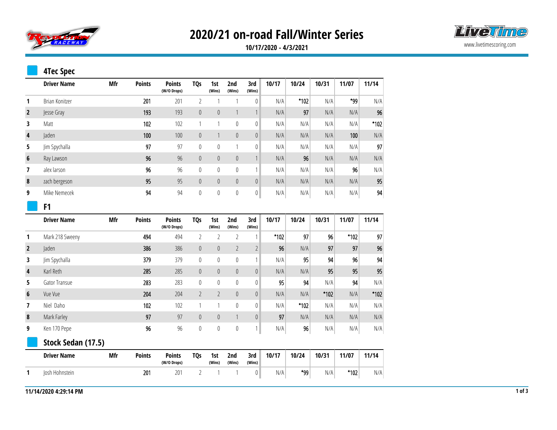

# **2020/21 on-road Fall/Winter Series**



**10/17/2020 - 4/3/2021**

#### **4Tec Spec**

|                | <b>Driver Name</b> | Mfr | <b>Points</b> | <b>Points</b><br>(W/O Drops) | <b>TQs</b> | 1st<br>(Wins) | 2nd<br>(Wins)  | 3rd<br>(Wins) | 10/17 | 10/24 | 10/31 | 11/07 | 11/14 |
|----------------|--------------------|-----|---------------|------------------------------|------------|---------------|----------------|---------------|-------|-------|-------|-------|-------|
|                | Brian Konitzer     |     | 201           | 201                          |            |               |                | 0             | N/A   | *102  | N/A   | *99   | N/A   |
| $\overline{2}$ | Jesse Gray         |     | 193           | 193                          | $\theta$   | $\theta$      |                |               | N/A   | 97    | N/A   | N/A   | 96    |
| 3              | Matt               |     | 102           | 102                          |            |               | 0              | 0             | N/A   | N/A   | N/A   | N/A   | *102  |
| 4              | Jaden              |     | 100           | 100                          | $\theta$   |               | $\overline{0}$ | $\mathbf 0$   | N/A   | N/A   | N/A   | 100   | N/A   |
| 5              | Jim Spychalla      |     | 97            | 97                           | $\theta$   | 0             |                | 0             | N/A   | N/A   | N/A   | N/A   | 97    |
| 6              | Ray Lawson         |     | 96            | 96                           | $\theta$   | $\theta$      | $\theta$       |               | N/A   | 96    | N/A   | N/A   | N/A   |
| 7              | alex larson        |     | 96            | 96                           | $\theta$   | 0             | $\mathbf 0$    |               | N/A   | N/A   | N/A   | 96    | N/A   |
| 8              | zach bergeson      |     | 95            | 95                           | $\theta$   | $\theta$      | $\theta$       | $\theta$      | N/A   | N/A   | N/A   | N/A   | 95    |
| 9              | Mike Nemecek       |     | 94            | 94                           | $\theta$   | 0             | 0              | 0             | N/A   | N/A   | N/A   | N/A   | 94    |

#### **F1**

|                | <b>Driver Name</b> | Mfr | <b>Points</b> | <b>Points</b><br>(W/O Drops) | TQ <sub>S</sub> | 1st<br>(Wins)  | 2nd<br>(Wins)  | 3rd<br>(Wins)  | 10/17  | 10/24  | 10/31  | 11/07  | 11/14 |
|----------------|--------------------|-----|---------------|------------------------------|-----------------|----------------|----------------|----------------|--------|--------|--------|--------|-------|
| 1              | Mark 218 Sweeny    |     | 494           | 494                          | $\overline{2}$  | $\overline{2}$ | $\overline{2}$ | $\mathbf{1}$   | $*102$ | 97     | 96     | $*102$ | 97    |
| $\overline{2}$ | laden              |     | 386           | 386                          | $\mathbf{0}$    | $\mathbf{0}$   | $\overline{2}$ | $\overline{2}$ | 96     | N/A    | 97     | 97     | 96    |
| 3              | Jim Spychalla      |     | 379           | 379                          | 0               | $\theta$       | $\mathbf 0$    |                | N/A    | 95     | 94     | 96     | 94    |
| 4              | Karl Reth          |     | 285           | 285                          | $\overline{0}$  | $\theta$       | $\theta$       | $\theta$       | N/A    | N/A    | 95     | 95     | 95    |
| 5              | Gator Transue      |     | 283           | 283                          | 0               | 0              | $\mathbf 0$    | 0              | 95     | 94     | N/A    | 94     | N/A   |
| 6              | Vue Vue            |     | 204           | 204                          | $\overline{2}$  | $\overline{2}$ | $\theta$       | $\theta$       | N/A    | N/A    | $*102$ | N/A    | *102  |
| 7              | Niel Daho          |     | 102           | 102                          | 1               |                | $\theta$       | $\theta$       | N/A    | $*102$ | N/A    | N/A    | N/A   |
| 8              | Mark Farley        |     | 97            | 97                           | 0               | $\mathbf 0$    |                | $\theta$       | 97     | N/A    | N/A    | N/A    | N/A   |
| 9              | Ken 170 Pepe       |     | 96            | 96                           | 0               | $\mathbf 0$    | $\mathbb O$    | 1              | N/A    | 96     | N/A    | N/A    | N/A   |
|                | Stock Sedan (17.5) |     |               |                              |                 |                |                |                |        |        |        |        |       |
|                | <b>Driver Name</b> | Mfr | <b>Points</b> | <b>Points</b><br>(W/O Drops) | <b>TQs</b>      | 1st<br>(Wins)  | 2nd<br>(Wins)  | 3rd<br>(Wins)  | 10/17  | 10/24  | 10/31  | 11/07  | 11/14 |
|                | Josh Hohnstein     |     | 201           | 201                          | 2               |                |                | 0              | N/A    | *99    | N/A    | $*102$ | N/A   |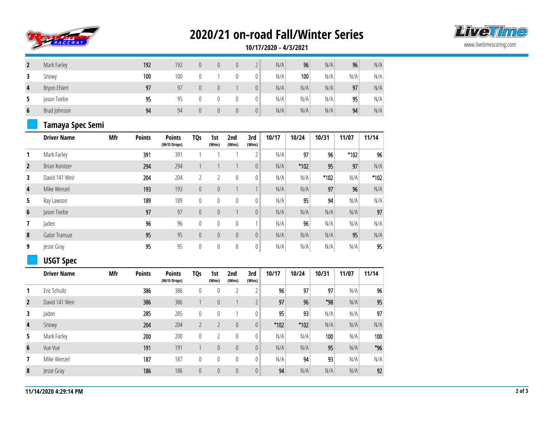

## **2020/21 on-road Fall/Winter Series**



**10/17/2020 - 4/3/2021**

|   | Mark Farley  | 192 | 192 | 0        | 0 | 0 |    | N/A | 96  | N/A | 96  | N/A |
|---|--------------|-----|-----|----------|---|---|----|-----|-----|-----|-----|-----|
|   | Snowy        | 100 | 100 |          |   |   | 0  | N/A | 100 | N/A | N/A | N/A |
| 4 | Bryon Ehlert | 97  | 97  | $\theta$ |   |   | 0  | N/A | N/A | N/A | 97  | N/A |
|   | Jason Toebe  | 95  | 95  |          |   | 0 | 01 | N/A | N/A | N/A | 95  | N/A |
| 6 | Brad Johnson | 94  | 94  | U        |   | 0 | 0  | N/A | N/A | N/A | 94  | N/A |

#### **Tamaya Spec Semi**

|                | <b>Driver Name</b> | Mfr | <b>Points</b> | <b>Points</b><br>(W/O Drops) | <b>TQs</b>     | 1st<br>(Wins) | 2nd<br>(Wins) | 3rd<br>(Wins)  | 10/17 | 10/24 | 10/31 | 11/07 | 11/14 |
|----------------|--------------------|-----|---------------|------------------------------|----------------|---------------|---------------|----------------|-------|-------|-------|-------|-------|
|                | Mark Farley        |     | 391           | 391                          |                |               |               | 2              | N/A   | 97    | 96    | *102  | 96    |
| $\overline{2}$ | Brian Konitzer     |     | 294           | 294                          |                |               |               | $\overline{0}$ | N/A   | *102  | 95    | 97    | N/A   |
| 3              | David 141 Weir     |     | 204           | 204                          | $\overline{2}$ |               | $\theta$      | 0              | N/A   | N/A   | *102  | N/A   | *102  |
| 4              | Mike Wenzel        |     | 193           | 193                          | $\theta$       | $\theta$      |               |                | N/A   | N/A   | 97    | 96    | N/A   |
| 5              | Ray Lawson         |     | 189           | 189                          | $\mathbf{0}$   | $\mathbf{0}$  | $\theta$      | 0              | N/A   | 95    | 94    | N/A   | N/A   |
| 6              | Jason Toebe        |     | 97            | 97                           | $\theta$       | $\theta$      |               | $\mathbf 0$    | N/A   | N/A   | N/A   | N/A   | 97    |
|                | Jaden              |     | 96            | 96                           | $\mathbf{0}$   | $\mathbf{0}$  | $\mathbf{0}$  |                | N/A   | 96    | N/A   | N/A   | N/A   |
| 8              | Gator Transue      |     | 95            | 95                           | $\theta$       | $\theta$      | $\mathbf 0$   | $\mathbf 0$    | N/A   | N/A   | N/A   | 95    | N/A   |
| 9              | Jesse Gray         |     | 95            | 95                           | 0              | $\mathbf{0}$  | $\theta$      | 0              | N/A   | N/A   | N/A   | N/A   | 95    |

### **USGT Spec**

|                | <b>Driver Name</b> | Mfr | <b>Points</b> | <b>Points</b><br>(W/O Drops) | <b>TQs</b> | 1st<br>(Wins)  | 2nd<br>(Wins) | 3rd<br>(Wins)         | 10/17  | 10/24  | 10/31 | 11/07 | 11/14 |
|----------------|--------------------|-----|---------------|------------------------------|------------|----------------|---------------|-----------------------|--------|--------|-------|-------|-------|
|                | Eric Schultz       |     | 386           | 386                          | 0          | 0              | 2             | C.<br>L               | 96     | 97     | 97    | N/A   | 96    |
| $\overline{2}$ | David 141 Weir     |     | 386           | 386                          |            | $\theta$       |               | $\bigcap$<br>$\angle$ | 97     | 96     | *98   | N/A   | 95    |
| 3              | laden              |     | 285           | 285                          | 0          | 0              |               | 0                     | 95     | 93     | N/A   | N/A   | 97    |
| 4              | Snowy              |     | 204           | 204                          |            |                | $\theta$      | $\theta$              | $*102$ | $*102$ | N/A   | N/A   | N/A   |
| 5.             | Mark Farley        |     | 200           | 200                          | 0          | $\overline{2}$ | $\mathbf{0}$  | 0                     | N/A    | N/A    | 100   | N/A   | 100   |
| 6              | Vue Vue            |     | 191           | 191                          |            | $\theta$       | $\theta$      | $\theta$              | N/A    | N/A    | 95    | N/A   | *96   |
|                | Mike Wenzel        |     | 187           | 187                          | 0          | 0              | $\mathbf{0}$  | 0                     | N/A    | 94     | 93    | N/A   | N/A   |
| 8              | Jesse Gray         |     | 186           | 186                          | $\theta$   | $\theta$       | $\theta$      | $\theta$              | 94     | N/A    | N/A   | N/A   | 92    |